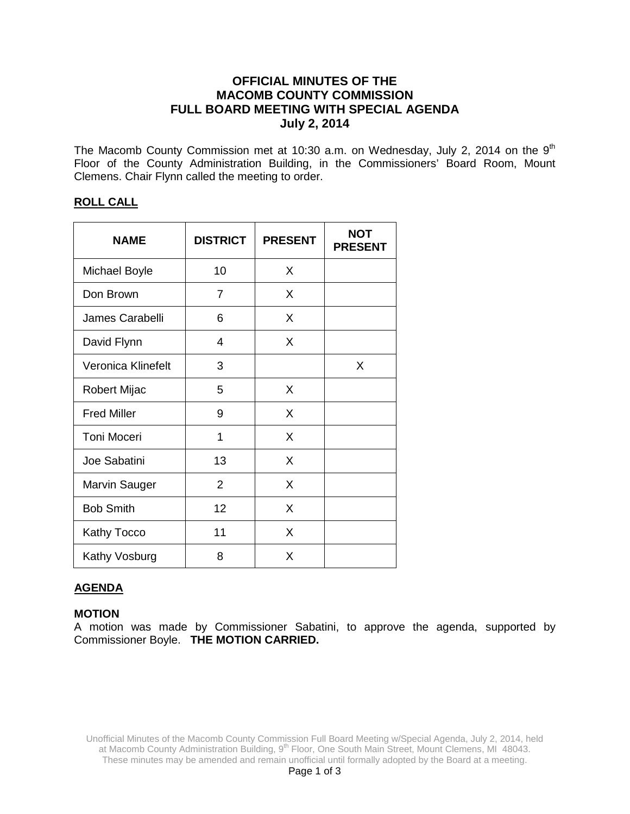## **OFFICIAL MINUTES OF THE MACOMB COUNTY COMMISSION FULL BOARD MEETING WITH SPECIAL AGENDA July 2, 2014**

The Macomb County Commission met at 10:30 a.m. on Wednesday, July 2, 2014 on the 9<sup>th</sup> Floor of the County Administration Building, in the Commissioners' Board Room, Mount Clemens. Chair Flynn called the meeting to order.

#### **ROLL CALL**

| <b>NAME</b>        | <b>DISTRICT</b> | <b>PRESENT</b> | <b>NOT</b><br><b>PRESENT</b> |
|--------------------|-----------------|----------------|------------------------------|
| Michael Boyle      | 10              | X              |                              |
| Don Brown          | $\overline{7}$  | X              |                              |
| James Carabelli    | 6               | X              |                              |
| David Flynn        | 4               | X              |                              |
| Veronica Klinefelt | 3               |                | X                            |
| Robert Mijac       | 5               | X              |                              |
| <b>Fred Miller</b> | 9               | X              |                              |
| <b>Toni Moceri</b> | 1               | X              |                              |
| Joe Sabatini       | 13              | X              |                              |
| Marvin Sauger      | 2               | X              |                              |
| <b>Bob Smith</b>   | 12              | X              |                              |
| <b>Kathy Tocco</b> | 11              | X              |                              |
| Kathy Vosburg      | 8               | X              |                              |

## **AGENDA**

#### **MOTION**

A motion was made by Commissioner Sabatini, to approve the agenda, supported by Commissioner Boyle. **THE MOTION CARRIED.**

Unofficial Minutes of the Macomb County Commission Full Board Meeting w/Special Agenda, July 2, 2014, held at Macomb County Administration Building, 9<sup>th</sup> Floor, One South Main Street, Mount Clemens, MI 48043. These minutes may be amended and remain unofficial until formally adopted by the Board at a meeting.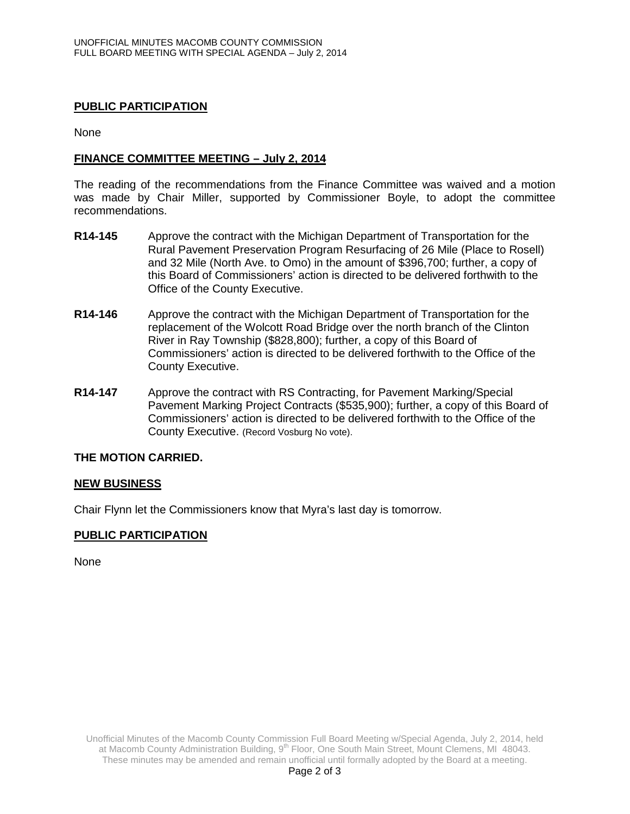### **PUBLIC PARTICIPATION**

None

#### **FINANCE COMMITTEE MEETING – July 2, 2014**

The reading of the recommendations from the Finance Committee was waived and a motion was made by Chair Miller, supported by Commissioner Boyle, to adopt the committee recommendations.

- **R14-145** Approve the contract with the Michigan Department of Transportation for the Rural Pavement Preservation Program Resurfacing of 26 Mile (Place to Rosell) and 32 Mile (North Ave. to Omo) in the amount of \$396,700; further, a copy of this Board of Commissioners' action is directed to be delivered forthwith to the Office of the County Executive.
- **R14-146** Approve the contract with the Michigan Department of Transportation for the replacement of the Wolcott Road Bridge over the north branch of the Clinton River in Ray Township (\$828,800); further, a copy of this Board of Commissioners' action is directed to be delivered forthwith to the Office of the County Executive.
- **R14-147** Approve the contract with RS Contracting, for Pavement Marking/Special Pavement Marking Project Contracts (\$535,900); further, a copy of this Board of Commissioners' action is directed to be delivered forthwith to the Office of the County Executive. (Record Vosburg No vote).

#### **THE MOTION CARRIED.**

#### **NEW BUSINESS**

Chair Flynn let the Commissioners know that Myra's last day is tomorrow.

## **PUBLIC PARTICIPATION**

None